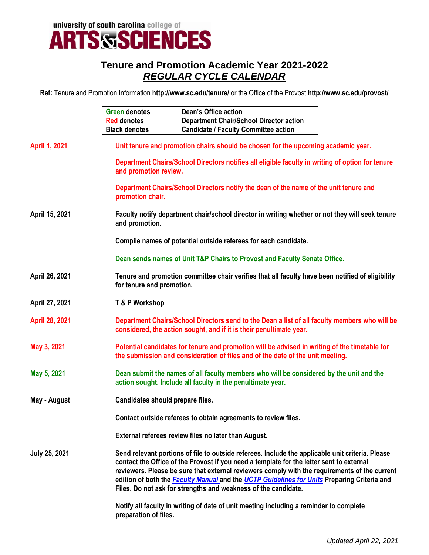university of south carolina college of<br>**ARTS SSCIENCES** 

## **Tenure and Promotion Academic Year 2021-2022** *REGULAR CYCLE CALENDAR*

**Ref:** Tenure and Promotion Information **<http://www.sc.edu/tenure/>** or the Office of the Provost **http://www.sc.edu/provost/**

|                       | <b>Green denotes</b><br><b>Red denotes</b><br><b>Black denotes</b>                                                                                                                                                                                                                                                                                                                                                                                             | Dean's Office action<br><b>Department Chair/School Director action</b><br><b>Candidate / Faculty Committee action</b> |  |  |
|-----------------------|----------------------------------------------------------------------------------------------------------------------------------------------------------------------------------------------------------------------------------------------------------------------------------------------------------------------------------------------------------------------------------------------------------------------------------------------------------------|-----------------------------------------------------------------------------------------------------------------------|--|--|
| <b>April 1, 2021</b>  | Unit tenure and promotion chairs should be chosen for the upcoming academic year.                                                                                                                                                                                                                                                                                                                                                                              |                                                                                                                       |  |  |
|                       | Department Chairs/School Directors notifies all eligible faculty in writing of option for tenure<br>and promotion review.                                                                                                                                                                                                                                                                                                                                      |                                                                                                                       |  |  |
|                       | promotion chair.                                                                                                                                                                                                                                                                                                                                                                                                                                               | Department Chairs/School Directors notify the dean of the name of the unit tenure and                                 |  |  |
| April 15, 2021        | Faculty notify department chair/school director in writing whether or not they will seek tenure<br>and promotion.                                                                                                                                                                                                                                                                                                                                              |                                                                                                                       |  |  |
|                       | Compile names of potential outside referees for each candidate.                                                                                                                                                                                                                                                                                                                                                                                                |                                                                                                                       |  |  |
|                       | Dean sends names of Unit T&P Chairs to Provost and Faculty Senate Office.                                                                                                                                                                                                                                                                                                                                                                                      |                                                                                                                       |  |  |
| April 26, 2021        | Tenure and promotion committee chair verifies that all faculty have been notified of eligibility<br>for tenure and promotion.                                                                                                                                                                                                                                                                                                                                  |                                                                                                                       |  |  |
| April 27, 2021        | T & P Workshop                                                                                                                                                                                                                                                                                                                                                                                                                                                 |                                                                                                                       |  |  |
| <b>April 28, 2021</b> | Department Chairs/School Directors send to the Dean a list of all faculty members who will be<br>considered, the action sought, and if it is their penultimate year.                                                                                                                                                                                                                                                                                           |                                                                                                                       |  |  |
| May 3, 2021           | Potential candidates for tenure and promotion will be advised in writing of the timetable for<br>the submission and consideration of files and of the date of the unit meeting.                                                                                                                                                                                                                                                                                |                                                                                                                       |  |  |
| May 5, 2021           | Dean submit the names of all faculty members who will be considered by the unit and the<br>action sought. Include all faculty in the penultimate year.                                                                                                                                                                                                                                                                                                         |                                                                                                                       |  |  |
| May - August          |                                                                                                                                                                                                                                                                                                                                                                                                                                                                | Candidates should prepare files.                                                                                      |  |  |
|                       | Contact outside referees to obtain agreements to review files.                                                                                                                                                                                                                                                                                                                                                                                                 |                                                                                                                       |  |  |
|                       | External referees review files no later than August.                                                                                                                                                                                                                                                                                                                                                                                                           |                                                                                                                       |  |  |
| <b>July 25, 2021</b>  | Send relevant portions of file to outside referees. Include the applicable unit criteria. Please<br>contact the Office of the Provost if you need a template for the letter sent to external<br>reviewers. Please be sure that external reviewers comply with the requirements of the current<br>edition of both the Faculty Manual and the UCTP Guidelines for Units Preparing Criteria and<br>Files. Do not ask for strengths and weakness of the candidate. |                                                                                                                       |  |  |
|                       | Notify all faculty in writing of date of unit meeting including a reminder to complete<br>preparation of files.                                                                                                                                                                                                                                                                                                                                                |                                                                                                                       |  |  |